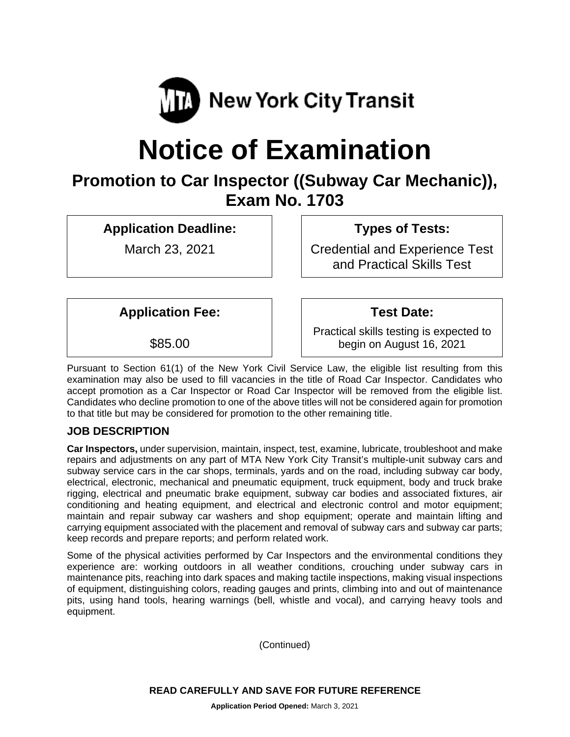

# **Notice of Examination**

# **Promotion to Car Inspector ((Subway Car Mechanic)), Exam No. 1703**

**Application Deadline:**

March 23, 2021

**Types of Tests:** 

Credential and Experience Test and Practical Skills Test

**Application Fee:**

\$85.00

Practical skills testing is expected to begin on August 16, 2021

**Test Date:**

Pursuant to Section 61(1) of the New York Civil Service Law, the eligible list resulting from this examination may also be used to fill vacancies in the title of Road Car Inspector. Candidates who accept promotion as a Car Inspector or Road Car Inspector will be removed from the eligible list. Candidates who decline promotion to one of the above titles will not be considered again for promotion to that title but may be considered for promotion to the other remaining title.

# **JOB DESCRIPTION**

**Car Inspectors,** under supervision, maintain, inspect, test, examine, lubricate, troubleshoot and make repairs and adjustments on any part of MTA New York City Transit's multiple-unit subway cars and subway service cars in the car shops, terminals, yards and on the road, including subway car body, electrical, electronic, mechanical and pneumatic equipment, truck equipment, body and truck brake rigging, electrical and pneumatic brake equipment, subway car bodies and associated fixtures, air conditioning and heating equipment, and electrical and electronic control and motor equipment; maintain and repair subway car washers and shop equipment; operate and maintain lifting and carrying equipment associated with the placement and removal of subway cars and subway car parts; keep records and prepare reports; and perform related work.

Some of the physical activities performed by Car Inspectors and the environmental conditions they experience are: working outdoors in all weather conditions, crouching under subway cars in maintenance pits, reaching into dark spaces and making tactile inspections, making visual inspections of equipment, distinguishing colors, reading gauges and prints, climbing into and out of maintenance pits, using hand tools, hearing warnings (bell, whistle and vocal), and carrying heavy tools and equipment.

(Continued)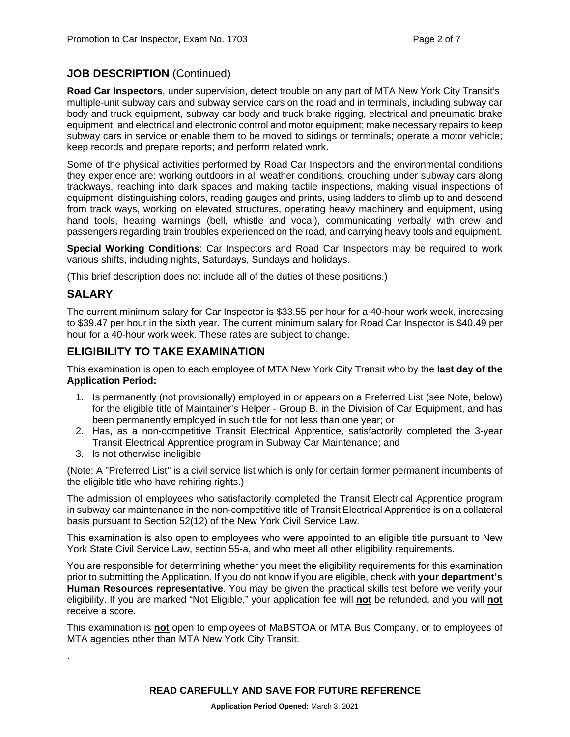# **JOB DESCRIPTION** (Continued)

**Road Car Inspectors**, under supervision, detect trouble on any part of MTA New York City Transit's multiple-unit subway cars and subway service cars on the road and in terminals, including subway car body and truck equipment, subway car body and truck brake rigging, electrical and pneumatic brake equipment, and electrical and electronic control and motor equipment; make necessary repairs to keep subway cars in service or enable them to be moved to sidings or terminals; operate a motor vehicle; keep records and prepare reports; and perform related work.

Some of the physical activities performed by Road Car Inspectors and the environmental conditions they experience are: working outdoors in all weather conditions, crouching under subway cars along trackways, reaching into dark spaces and making tactile inspections, making visual inspections of equipment, distinguishing colors, reading gauges and prints, using ladders to climb up to and descend from track ways, working on elevated structures, operating heavy machinery and equipment, using hand tools, hearing warnings (bell, whistle and vocal), communicating verbally with crew and passengers regarding train troubles experienced on the road, and carrying heavy tools and equipment.

**Special Working Conditions**: Car Inspectors and Road Car Inspectors may be required to work various shifts, including nights, Saturdays, Sundays and holidays.

(This brief description does not include all of the duties of these positions.)

#### **SALARY**

.

The current minimum salary for Car Inspector is \$33.55 per hour for a 40-hour work week, increasing to \$39.47 per hour in the sixth year. The current minimum salary for Road Car Inspector is \$40.49 per hour for a 40-hour work week. These rates are subject to change.

#### **ELIGIBILITY TO TAKE EXAMINATION**

This examination is open to each employee of MTA New York City Transit who by the **last day of the Application Period:** 

- 1. Is permanently (not provisionally) employed in or appears on a Preferred List (see Note, below) for the eligible title of Maintainer's Helper - Group B, in the Division of Car Equipment, and has been permanently employed in such title for not less than one year; or
- 2. Has, as a non-competitive Transit Electrical Apprentice, satisfactorily completed the 3-year Transit Electrical Apprentice program in Subway Car Maintenance; and
- 3. Is not otherwise ineligible

(Note: A "Preferred List" is a civil service list which is only for certain former permanent incumbents of the eligible title who have rehiring rights.)

The admission of employees who satisfactorily completed the Transit Electrical Apprentice program in subway car maintenance in the non-competitive title of Transit Electrical Apprentice is on a collateral basis pursuant to Section 52(12) of the New York Civil Service Law.

This examination is also open to employees who were appointed to an eligible title pursuant to New York State Civil Service Law, section 55-a, and who meet all other eligibility requirements.

You are responsible for determining whether you meet the eligibility requirements for this examination prior to submitting the Application. If you do not know if you are eligible, check with **your department's Human Resources representative**. You may be given the practical skills test before we verify your eligibility. If you are marked "Not Eligible," your application fee will **not** be refunded, and you will **not** receive a score.

This examination is **not** open to employees of MaBSTOA or MTA Bus Company, or to employees of MTA agencies other than MTA New York City Transit.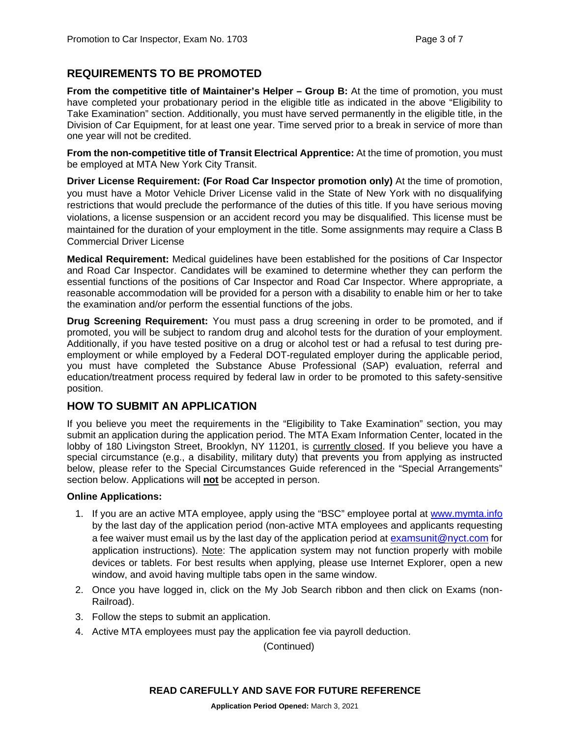# **REQUIREMENTS TO BE PROMOTED**

**From the competitive title of Maintainer's Helper – Group B:** At the time of promotion, you must have completed your probationary period in the eligible title as indicated in the above "Eligibility to Take Examination" section. Additionally, you must have served permanently in the eligible title, in the Division of Car Equipment, for at least one year. Time served prior to a break in service of more than one year will not be credited.

**From the non-competitive title of Transit Electrical Apprentice:** At the time of promotion, you must be employed at MTA New York City Transit.

**Driver License Requirement: (For Road Car Inspector promotion only)** At the time of promotion, you must have a Motor Vehicle Driver License valid in the State of New York with no disqualifying restrictions that would preclude the performance of the duties of this title. If you have serious moving violations, a license suspension or an accident record you may be disqualified. This license must be maintained for the duration of your employment in the title. Some assignments may require a Class B Commercial Driver License

**Medical Requirement:** Medical guidelines have been established for the positions of Car Inspector and Road Car Inspector. Candidates will be examined to determine whether they can perform the essential functions of the positions of Car Inspector and Road Car Inspector. Where appropriate, a reasonable accommodation will be provided for a person with a disability to enable him or her to take the examination and/or perform the essential functions of the jobs.

**Drug Screening Requirement:** You must pass a drug screening in order to be promoted, and if promoted, you will be subject to random drug and alcohol tests for the duration of your employment. Additionally, if you have tested positive on a drug or alcohol test or had a refusal to test during preemployment or while employed by a Federal DOT-regulated employer during the applicable period, you must have completed the Substance Abuse Professional (SAP) evaluation, referral and education/treatment process required by federal law in order to be promoted to this safety-sensitive position.

# **HOW TO SUBMIT AN APPLICATION**

If you believe you meet the requirements in the "Eligibility to Take Examination" section, you may submit an application during the application period. The MTA Exam Information Center, located in the lobby of 180 Livingston Street, Brooklyn, NY 11201, is currently closed. If you believe you have a special circumstance (e.g., a disability, military duty) that prevents you from applying as instructed below, please refer to the Special Circumstances Guide referenced in the "Special Arrangements" section below. Applications will **not** be accepted in person.

#### **Online Applications:**

- 1. If you are an active MTA employee, apply using the "BSC" employee portal at [www.mymta.info](http://www.mymta.info/) by the last day of the application period (non-active MTA employees and applicants requesting a fee waiver must email us by the last day of the application period at [examsunit@nyct.com](mailto:examsunit@nyct.com) for application instructions). Note: The application system may not function properly with mobile devices or tablets. For best results when applying, please use Internet Explorer, open a new window, and avoid having multiple tabs open in the same window.
- 2. Once you have logged in, click on the My Job Search ribbon and then click on Exams (non-Railroad).
- 3. Follow the steps to submit an application.
- 4. Active MTA employees must pay the application fee via payroll deduction.

(Continued)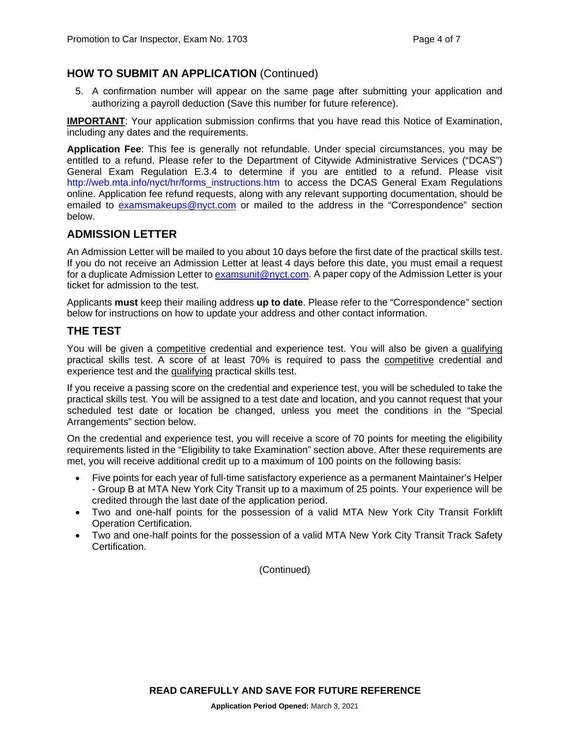# **HOW TO SUBMIT AN APPLICATION** (Continued)

5. A confirmation number will appear on the same page after submitting your application and authorizing a payroll deduction (Save this number for future reference).

**IMPORTANT:** Your application submission confirms that you have read this Notice of Examination, including any dates and the requirements.

**Application Fee**: This fee is generally not refundable. Under special circumstances, you may be entitled to a refund. Please refer to the Department of Citywide Administrative Services ("DCAS") General Exam Regulation E.3.4 to determine if you are entitled to a refund. Please visit [http://web.mta.info/nyct/hr/forms\\_instructions.htm](http://web.mta.info/nyct/hr/forms_instructions.htm) to access the DCAS General Exam Regulations online. Application fee refund requests, along with any relevant supporting documentation, should be emailed to [examsmakeups@nyct.com](mailto:examsmakeups@nyct.com) or mailed to the address in the "Correspondence" section below.

# **ADMISSION LETTER**

An Admission Letter will be mailed to you about 10 days before the first date of the practical skills test. If you do not receive an Admission Letter at least 4 days before this date, you must email a request for a duplicate Admission Letter to [examsunit@nyct.com.](mailto:examsunit@nyct.com) A paper copy of the Admission Letter is your ticket for admission to the test.

Applicants **must** keep their mailing address **up to date**. Please refer to the "Correspondence" section below for instructions on how to update your address and other contact information.

#### **THE TEST**

You will be given a competitive credential and experience test. You will also be given a qualifying practical skills test. A score of at least 70% is required to pass the competitive credential and experience test and the qualifying practical skills test.

If you receive a passing score on the credential and experience test, you will be scheduled to take the practical skills test. You will be assigned to a test date and location, and you cannot request that your scheduled test date or location be changed, unless you meet the conditions in the "Special Arrangements" section below.

On the credential and experience test, you will receive a score of 70 points for meeting the eligibility requirements listed in the "Eligibility to take Examination" section above. After these requirements are met, you will receive additional credit up to a maximum of 100 points on the following basis:

- Five points for each year of full-time satisfactory experience as a permanent Maintainer's Helper - Group B at MTA New York City Transit up to a maximum of 25 points. Your experience will be credited through the last date of the application period.
- Two and one-half points for the possession of a valid MTA New York City Transit Forklift Operation Certification.
- Two and one-half points for the possession of a valid MTA New York City Transit Track Safety **Certification**

(Continued)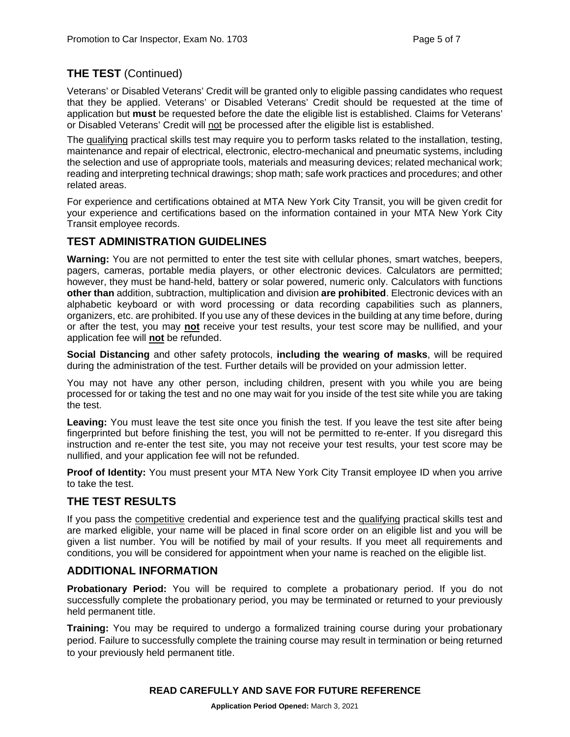# **THE TEST** (Continued)

Veterans' or Disabled Veterans' Credit will be granted only to eligible passing candidates who request that they be applied. Veterans' or Disabled Veterans' Credit should be requested at the time of application but **must** be requested before the date the eligible list is established. Claims for Veterans' or Disabled Veterans' Credit will not be processed after the eligible list is established.

The qualifying practical skills test may require you to perform tasks related to the installation, testing, maintenance and repair of electrical, electronic, electro-mechanical and pneumatic systems, including the selection and use of appropriate tools, materials and measuring devices; related mechanical work; reading and interpreting technical drawings; shop math; safe work practices and procedures; and other related areas.

For experience and certifications obtained at MTA New York City Transit, you will be given credit for your experience and certifications based on the information contained in your MTA New York City Transit employee records.

# **TEST ADMINISTRATION GUIDELINES**

**Warning:** You are not permitted to enter the test site with cellular phones, smart watches, beepers, pagers, cameras, portable media players, or other electronic devices. Calculators are permitted; however, they must be hand-held, battery or solar powered, numeric only. Calculators with functions **other than** addition, subtraction, multiplication and division **are prohibited**. Electronic devices with an alphabetic keyboard or with word processing or data recording capabilities such as planners, organizers, etc. are prohibited. If you use any of these devices in the building at any time before, during or after the test, you may **not** receive your test results, your test score may be nullified, and your application fee will **not** be refunded.

**Social Distancing** and other safety protocols, **including the wearing of masks**, will be required during the administration of the test. Further details will be provided on your admission letter.

You may not have any other person, including children, present with you while you are being processed for or taking the test and no one may wait for you inside of the test site while you are taking the test.

**Leaving:** You must leave the test site once you finish the test. If you leave the test site after being fingerprinted but before finishing the test, you will not be permitted to re-enter. If you disregard this instruction and re-enter the test site, you may not receive your test results, your test score may be nullified, and your application fee will not be refunded.

**Proof of Identity:** You must present your MTA New York City Transit employee ID when you arrive to take the test.

# **THE TEST RESULTS**

If you pass the competitive credential and experience test and the qualifying practical skills test and are marked eligible, your name will be placed in final score order on an eligible list and you will be given a list number. You will be notified by mail of your results. If you meet all requirements and conditions, you will be considered for appointment when your name is reached on the eligible list.

# **ADDITIONAL INFORMATION**

**Probationary Period:** You will be required to complete a probationary period. If you do not successfully complete the probationary period, you may be terminated or returned to your previously held permanent title.

**Training:** You may be required to undergo a formalized training course during your probationary period. Failure to successfully complete the training course may result in termination or being returned to your previously held permanent title.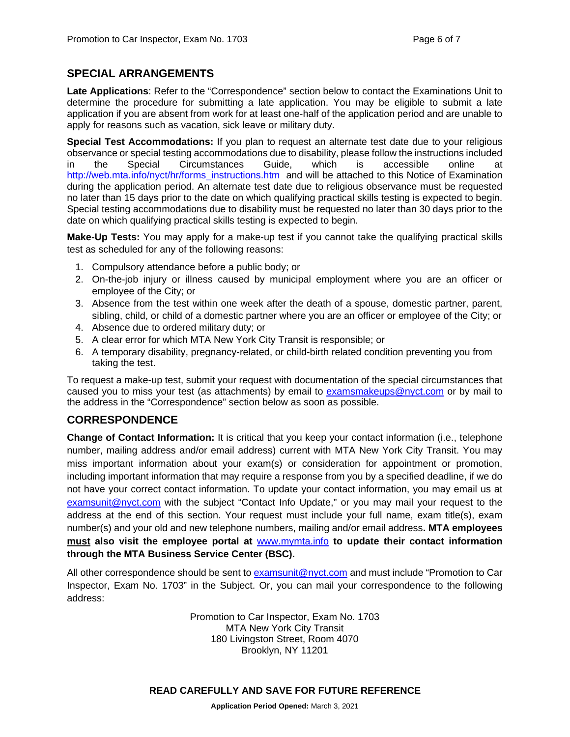# **SPECIAL ARRANGEMENTS**

**Late Applications**: Refer to the "Correspondence" section below to contact the Examinations Unit to determine the procedure for submitting a late application. You may be eligible to submit a late application if you are absent from work for at least one-half of the application period and are unable to apply for reasons such as vacation, sick leave or military duty.

**Special Test Accommodations:** If you plan to request an alternate test date due to your religious observance or special testing accommodations due to disability, please follow the instructions included in the Special Circumstances Guide, which is accessible online at [http://web.mta.info/nyct/hr/forms\\_instructions.htm](http://web.mta.info/nyct/hr/forms_instructions.htm) and will be attached to this Notice of Examination during the application period. An alternate test date due to religious observance must be requested no later than 15 days prior to the date on which qualifying practical skills testing is expected to begin. Special testing accommodations due to disability must be requested no later than 30 days prior to the date on which qualifying practical skills testing is expected to begin.

**Make-Up Tests:** You may apply for a make-up test if you cannot take the qualifying practical skills test as scheduled for any of the following reasons:

- 1. Compulsory attendance before a public body; or
- 2. On-the-job injury or illness caused by municipal employment where you are an officer or employee of the City; or
- 3. Absence from the test within one week after the death of a spouse, domestic partner, parent, sibling, child, or child of a domestic partner where you are an officer or employee of the City; or
- 4. Absence due to ordered military duty; or
- 5. A clear error for which MTA New York City Transit is responsible; or
- 6. A temporary disability, pregnancy-related, or child-birth related condition preventing you from taking the test.

To request a make-up test, submit your request with documentation of the special circumstances that caused you to miss your test (as attachments) by email to [examsmakeups@nyct.com](mailto:examsmakeups@nyct.com) or by mail to the address in the "Correspondence" section below as soon as possible.

# **CORRESPONDENCE**

**Change of Contact Information:** It is critical that you keep your contact information (i.e., telephone number, mailing address and/or email address) current with MTA New York City Transit. You may miss important information about your exam(s) or consideration for appointment or promotion, including important information that may require a response from you by a specified deadline, if we do not have your correct contact information. To update your contact information, you may email us at [examsunit@nyct.com](mailto:examsunit@nyct.com) with the subject "Contact Info Update," or you may mail your request to the address at the end of this section. Your request must include your full name, exam title(s), exam number(s) and your old and new telephone numbers, mailing and/or email address**. MTA employees must also visit the employee portal at** [www.mymta.info](http://www.mymta.info/) **to update their contact information through the MTA Business Service Center (BSC).**

All other correspondence should be sent to [examsunit@nyct.com](mailto:examsunit@nyct.com) and must include "Promotion to Car Inspector, Exam No. 1703" in the Subject. Or, you can mail your correspondence to the following address:

> Promotion to Car Inspector, Exam No. 1703 MTA New York City Transit 180 Livingston Street, Room 4070 Brooklyn, NY 11201